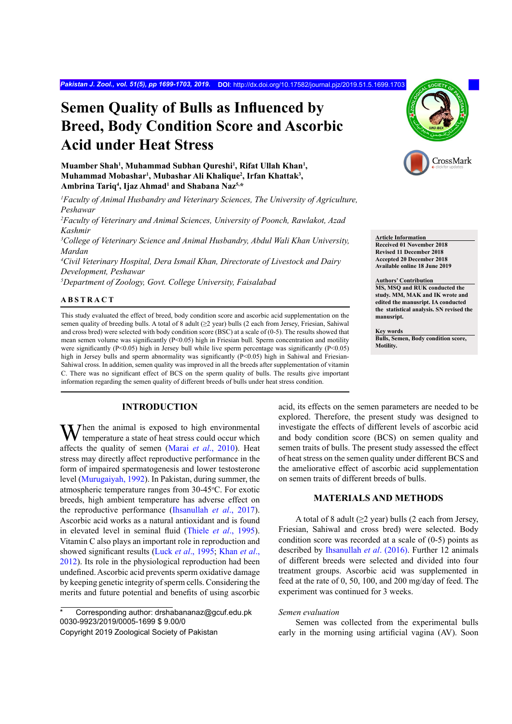# **Semen Quality of Bulls as Influenced by Breed, Body Condition Score and Ascorbic Acid under Heat Stress**

**Muamber Shah<sup>1</sup> , Muhammad Subhan Qureshi<sup>1</sup> , Rifat Ullah Khan<sup>1</sup> , Muhammad Mobashar<sup>1</sup> , Mubashar Ali Khalique<sup>2</sup> , Irfan Khattak<sup>3</sup> , Ambrina Tariq<sup>4</sup> , Ijaz Ahmad<sup>1</sup> and Shabana Naz5,\***

*1 Faculty of Animal Husbandry and Veterinary Sciences, The University of Agriculture, Peshawar*

*2 Faculty of Veterinary and Animal Sciences, University of Poonch, Rawlakot, Azad Kashmir*

*3 College of Veterinary Science and Animal Husbandry, Abdul Wali Khan University, Mardan*

*4 Civil Veterinary Hospital, Dera Ismail Khan, Directorate of Livestock and Dairy Development, Peshawar*

*5 Department of Zoology, Govt. College University, Faisalabad*

## **ABSTRACT**

This study evaluated the effect of breed, body condition score and ascorbic acid supplementation on the semen quality of breeding bulls. A total of 8 adult (≥2 year) bulls (2 each from Jersey, Friesian, Sahiwal and cross bred) were selected with body condition score (BSC) at a scale of (0-5). The results showed that mean semen volume was significantly (P<0.05) high in Friesian bull. Sperm concentration and motility were significantly (P<0.05) high in Jersey bull while live sperm percentage was significantly (P<0.05) high in Jersey bulls and sperm abnormality was significantly (P<0.05) high in Sahiwal and Friesian-Sahiwal cross. In addition, semen quality was improved in all the breeds after supplementation of vitamin C. There was no significant effect of BCS on the sperm quality of bulls. The results give important information regarding the semen quality of different breeds of bulls under heat stress condition.

## **INTRODUCTION**

When the animal is exposed to high environmental<br>temperature a state of heat stress could occur which<br>the state of heat stress could occur which affects the quality of semen (Marai *et al*., 2010). Heat stress may directly affect reproductive performance in the form of impaired spermatogenesis and lower testosterone level ([Murugaiyah, 1992](#page-4-0)). In Pakistan, during summer, the atmospheric temperature ranges from 30-45°C. For exotic breeds, high ambient temperature has adverse effect on the reproductive performance ([Ihsanullah](#page-4-1) *et al*., 2017). Ascorbic acid works as a natural antioxidant and is found in elevated level in seminal fluid (Thiele *et al*[., 1995](#page-4-2)). Vitamin C also plays an important role in reproduction and showed significant results (Luck *et al*[., 1995](#page-4-3); [Khan](#page-4-4) *et al*., [2012\)](#page-4-4). Its role in the physiological reproduction had been undefined. Ascorbic acid prevents sperm oxidative damage by keeping genetic integrity of sperm cells. Considering the merits and future potential and benefits of using ascorbic

Corresponding author: drshabananaz@gcuf.edu.pk 0030-9923/2019/0005-1699 \$ 9.00/0



**Article Information Received 01 November 2018 Revised 11 December 2018 Accepted 20 December 2018 Available online 18 June 2019**

#### **Authors' Contribution**

**MS, MSQ and RUK conducted the study. MM, MAK and IK wrote and edited the manusript. IA conducted the statistical analysis. SN revised the manusript.** 

**Key words Bulls, Semen, Body condition score, Motility.**

acid, its effects on the semen parameters are needed to be explored. Therefore, the present study was designed to investigate the effects of different levels of ascorbic acid and body condition score (BCS) on semen quality and semen traits of bulls. The present study assessed the effect of heat stress on the semen quality under different BCS and the ameliorative effect of ascorbic acid supplementation on semen traits of different breeds of bulls.

## **MATERIALS AND METHODS**

A total of 8 adult  $(\geq 2 \text{ year})$  bulls (2 each from Jersey, Friesian, Sahiwal and cross bred) were selected. Body condition score was recorded at a scale of (0-5) points as described by [Ihsanullah](#page-4-1) *et al*. (2016). Further 12 animals of different breeds were selected and divided into four treatment groups. Ascorbic acid was supplemented in feed at the rate of 0, 50, 100, and 200 mg/day of feed. The experiment was continued for 3 weeks.

#### *Semen evaluation*

Semen was collected from the experimental bulls early in the morning using artificial vagina (AV). Soon

Copyright 2019 Zoological Society of Pakistan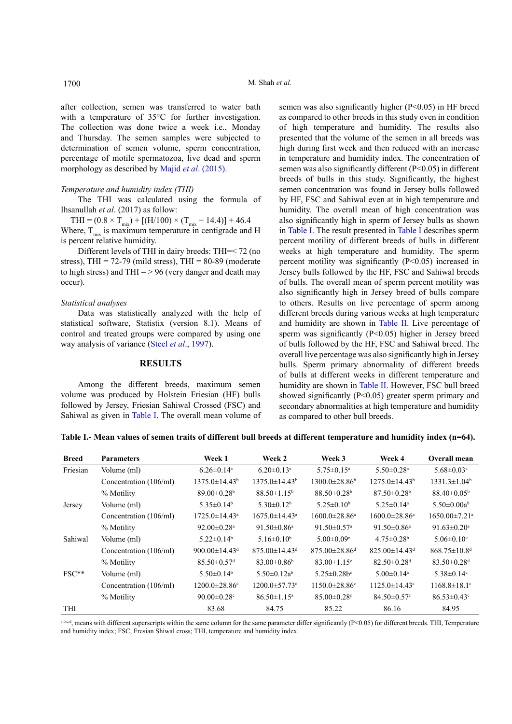after collection, semen was transferred to water bath with a temperature of 35°C for further investigation. The collection was done twice a week i.e., Monday and Thursday. The semen samples were subjected to determination of semen volume, sperm concentration, percentage of motile spermatozoa, live dead and sperm morphology as described by Majid *et al*[. \(2015\)](#page-4-5).

#### *Temperature and humidity index (THI)*

The THI was calculated using the formula of Ihsanullah *et al*. (2017) as follow:

 $THI = (0.8 \times T_{mix}) + [(H/100) \times (T_{mix} - 14.4)] + 46.4$ Where,  $T_{mix}$  is maximum temperature in centigrade and H is percent relative humidity.

Different levels of THI in dairy breeds: THI=< 72 (no stress), THI =  $72-79$  (mild stress), THI =  $80-89$  (moderate to high stress) and THI  $=$  > 96 (very danger and death may occur).

#### *Statistical analyses*

Data was statistically analyzed with the help of statistical software, Statistix (version 8.1). Means of control and treated groups were compared by using one way analysis of variance (Steel *et al*[., 1997\)](#page-4-6).

## **RESULTS**

Among the different breeds, maximum semen volume was produced by Holstein Friesian (HF) bulls followed by Jersey, Friesian Sahiwal Crossed (FSC) and Sahiwal as given in [Table](#page-1-0) I. The overall mean volume of semen was also significantly higher (P<0.05) in HF breed as compared to other breeds in this study even in condition of high temperature and humidity. The results also presented that the volume of the semen in all breeds was high during first week and then reduced with an increase in temperature and humidity index. The concentration of semen was also significantly different (P<0.05) in different breeds of bulls in this study. Significantly, the highest semen concentration was found in Jersey bulls followed by HF, FSC and Sahiwal even at in high temperature and humidity. The overall mean of high concentration was also significantly high in sperm of Jersey bulls as shown in [Table](#page-1-0) I. The result presented in [Table](#page-1-0) I describes sperm percent motility of different breeds of bulls in different weeks at high temperature and humidity. The sperm percent motility was significantly (P<0.05) increased in Jersey bulls followed by the HF, FSC and Sahiwal breeds of bulls. The overall mean of sperm percent motility was also significantly high in Jersey breed of bulls compare to others. Results on live percentage of sperm among different breeds during various weeks at high temperature and humidity are shown in [Table](#page-2-0) II. Live percentage of sperm was significantly (P<0.05) higher in Jersey breed of bulls followed by the HF, FSC and Sahiwal breed. The overall live percentage was also significantly high in Jersey bulls. Sperm primary abnormality of different breeds of bulls at different weeks in different temperature and humidity are shown in [Table](#page-2-0) II. However, FSC bull breed showed significantly (P<0.05) greater sperm primary and secondary abnormalities at high temperature and humidity as compared to other bull breeds.

<span id="page-1-0"></span>**Table I.- Mean values of semen traits of different bull breeds at different temperature and humidity index (n=64).**

| <b>Breed</b> | <b>Parameters</b>      | Week 1                          | Week 2                          | Week 3                          | Week 4                          | Overall mean                    |
|--------------|------------------------|---------------------------------|---------------------------------|---------------------------------|---------------------------------|---------------------------------|
| Friesian     | Volume (ml)            | $6.26 \pm 0.14$ <sup>a</sup>    | $6.20 \pm 0.13$ <sup>a</sup>    | $5.75 \pm 0.15^a$               | $5.50 \pm 0.28$ <sup>a</sup>    | $5.68 \pm 0.03$ <sup>a</sup>    |
|              | Concentration (106/ml) | $1375.0 \pm 14.43^b$            | $1375.0 \pm 14.43^b$            | $1300.0 \pm 28.86^{\circ}$      | $1275.0 \pm 14.43^b$            | $1331.3 \pm 1.04^b$             |
|              | % Motility             | $89.00 \pm 0.28$ <sup>b</sup>   | $88.50 \pm 1.15^b$              | $88.50\pm0.28^{\circ}$          | $87.50 \pm 0.28$ <sup>b</sup>   | $88.40 \pm 0.05^{\rm b}$        |
| Jersey       | Volume (ml)            | $5.35 \pm 0.14^b$               | $5.30\pm0.12^b$                 | $5.25 \pm 0.10^b$               | $5.25 \pm 0.14$ <sup>a</sup>    | $5.50 \pm 0.00a^b$              |
|              | Concentration (106/ml) | $1725.0 \pm 14.43$ <sup>a</sup> | $1675.0 \pm 14.43$ <sup>a</sup> | $1600.0 \pm 28.86^a$            | $1600.0 \pm 28.86^a$            | $1650.00 \pm 7.21$ <sup>a</sup> |
|              | % Motility             | 92.00 $\pm$ 0.28 <sup>a</sup>   | 91.50 $\pm$ 0.86 <sup>a</sup>   | 91.50 $\pm$ 0.57 <sup>a</sup>   | $91.50 \pm 0.86$ <sup>a</sup>   | 91.63 $\pm$ 0.20 <sup>a</sup>   |
| Sahiwal      | Volume (ml)            | $5.22 \pm 0.14^b$               | 5.16 $\pm$ 0.10 <sup>b</sup>    | $5.00 \pm 0.09$ <sup>c</sup>    | $4.75 \pm 0.28$ <sup>b</sup>    | $5.06 \pm 0.10$ <sup>c</sup>    |
|              | Concentration (106/ml) | 900.00 $\pm$ 14.43 <sup>d</sup> | $875.00 \pm 14.43$ <sup>d</sup> | $875.00 \pm 28.86$ <sup>d</sup> | $825.00 \pm 14.43$ <sup>d</sup> | $868.75 \pm 10.8$ <sup>d</sup>  |
|              | % Motility             | $85.50 \pm 0.57$ <sup>d</sup>   | $83.00\pm0.86^{\rm b}$          | $83.00 \pm 1.15$ °              | $82.50 \pm 0.28$ <sup>d</sup>   | $83.50 \pm 0.28$ <sup>d</sup>   |
| $FSC**$      | Volume (ml)            | $5.50 \pm 0.14$ <sup>b</sup>    | $5.50\pm0.12a^b$                | $5.25 \pm 0.28$ b <sup>c</sup>  | $5.00 \pm 0.14$ <sup>a</sup>    | 5.38 $\pm$ 0.14 $\rm{c}$        |
|              | Concentration (106/ml) | $1200.0 \pm 28.86$ <sup>c</sup> | $1200.0 \pm 57.73$ <sup>c</sup> | $1150.0 \pm 28.86$ <sup>c</sup> | $1125.0 \pm 14.43$ <sup>c</sup> | $1168.8 \pm 18.1$ °             |
|              | % Motility             | 90.00 $\pm$ 0.28 $\textdegree$  | $86.50 \pm 1.15$ <sup>a</sup>   | $85.00 \pm 0.28$ <sup>c</sup>   | $84.50 \pm 0.57$ °              | $86.53 \pm 0.43$ °              |
| THI          |                        | 83.68                           | 84.75                           | 85.22                           | 86.16                           | 84.95                           |

 $a,b,c,d$ , means with different superscripts within the same column for the same parameter differ significantly (P<0.05) for different breeds. THI, Temperature and humidity index; FSC, Fresian Shiwal cross; THI, temperature and humidity index.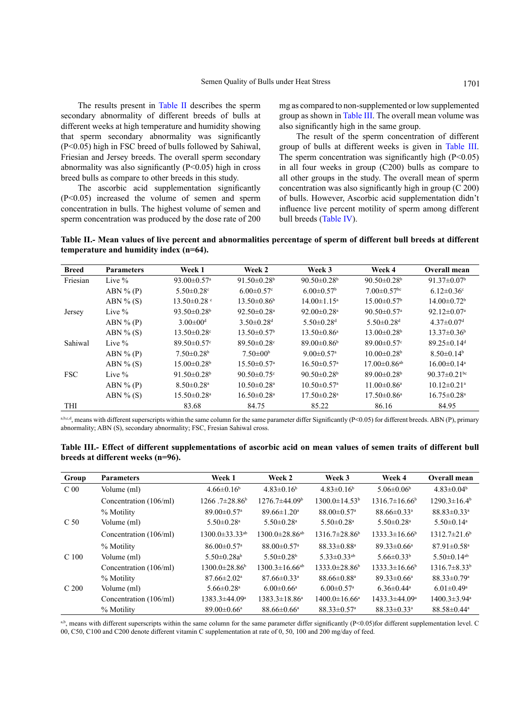The results present in [Table](#page-2-0) II describes the sperm secondary abnormality of different breeds of bulls at different weeks at high temperature and humidity showing that sperm secondary abnormality was significantly (P<0.05) high in FSC breed of bulls followed by Sahiwal, Friesian and Jersey breeds. The overall sperm secondary abnormality was also significantly (P<0.05) high in cross breed bulls as compare to other breeds in this study.

The ascorbic acid supplementation significantly (P<0.05) increased the volume of semen and sperm concentration in bulls. The highest volume of semen and sperm concentration was produced by the dose rate of 200 mg as compared to non-supplemented or low supplemented group as shown in [Table](#page-2-1) III. The overall mean volume was also significantly high in the same group.

The result of the sperm concentration of different group of bulls at different weeks is given in [Table](#page-2-1) III. The sperm concentration was significantly high  $(P<0.05)$ in all four weeks in group (C200) bulls as compare to all other groups in the study. The overall mean of sperm concentration was also significantly high in group (C 200) of bulls. However, Ascorbic acid supplementation didn't influence live percent motility of sperm among different bull breeds ([Table](#page-3-0) IV).

<span id="page-2-0"></span>**Table II.- Mean values of live percent and abnormalities percentage of sperm of different bull breeds at different temperature and humidity index (n=64).**

| <b>Breed</b> | <b>Parameters</b> | Week 1                          | Week 2                         | Week 3                        | Week 4                         | Overall mean                   |
|--------------|-------------------|---------------------------------|--------------------------------|-------------------------------|--------------------------------|--------------------------------|
| Friesian     | Live $\%$         | 93.00 $\pm$ 0.57 <sup>a</sup>   | 91.50 $\pm$ 0.28 <sup>b</sup>  | 90.50 $\pm$ 0.28 <sup>b</sup> | $90.50\pm0.28^{\rm b}$         | 91.37 $\pm$ 0.07 <sup>b</sup>  |
|              | ABN $\%$ (P)      | 5.50 $\pm$ 0.28 $\rm{^{\circ}}$ | $6.00 \pm 0.57$ °              | $6.00 \pm 0.57$ <sup>b</sup>  | $7.00 \pm 0.57$ <sup>bc</sup>  | $6.12 \pm 0.36$ °              |
|              | ABN $\%$ (S)      | $13.50 \pm 0.28$                | $13.50 \pm 0.86^b$             | $14.00 \pm 1.15^a$            | $15.00 \pm 0.57$ <sup>b</sup>  | $14.00 \pm 0.72$ <sup>b</sup>  |
| Jersey       | Live $\%$         | 93.50 $\pm$ 0.28 <sup>b</sup>   | $92.50 \pm 0.28$ <sup>a</sup>  | $92.00 \pm 0.28$ <sup>a</sup> | 90.50 $\pm$ 0.57 <sup>a</sup>  | $92.12 \pm 0.07$ <sup>a</sup>  |
|              | $ABN\%(P)$        | $3.00 \pm 00$ <sup>d</sup>      | $3.50 \pm 0.28$ <sup>d</sup>   | $5.50 \pm 0.28$ <sup>d</sup>  | $5.50 \pm 0.28$ <sup>d</sup>   | $4.37 \pm 0.07$ <sup>d</sup>   |
|              | ABN $\%$ (S)      | $13.50 \pm 0.28$ <sup>c</sup>   | $13.50 \pm 0.57$ <sup>b</sup>  | $13.50 \pm 0.86^a$            | $13.00 \pm 0.28$ <sup>b</sup>  | $13.37 \pm 0.36^b$             |
| Sahiwal      | Live $\%$         | $89.50 \pm 0.57$ °              | $89.50 \pm 0.28$               | $89.00 \pm 0.86$              | $89.00 \pm 0.57$ °             | $89.25 \pm 0.14$ <sup>d</sup>  |
|              | ABN $\%$ (P)      | $7.50\pm0.28b$                  | $7.50 \pm 00^6$                | $9.00 \pm 0.57$ <sup>a</sup>  | $10.00 \pm 0.28$ <sup>b</sup>  | $8.50\pm0.14^b$                |
|              | ABN $\%$ (S)      | $15.00 \pm 0.28$ <sup>b</sup>   | $15.50 \pm 0.57$ <sup>a</sup>  | $16.50 \pm 0.57$ <sup>a</sup> | $17.00 \pm 0.86$ <sup>ab</sup> | $16.00 \pm 0.14$ <sup>a</sup>  |
| <b>FSC</b>   | Live $\%$         | 91.50 $\pm$ 0.28 <sup>b</sup>   | 90.50 $\pm$ 0.75 $\textdegree$ | $90.50\pm0.28^{\rm b}$        | $89.00 \pm 0.28$               | 90.37 $\pm$ 0.21 <sup>bc</sup> |
|              | $ABN\%(P)$        | $8.50 \pm 0.28$ <sup>a</sup>    | $10.50 \pm 0.28$ <sup>a</sup>  | $10.50 \pm 0.57$ <sup>a</sup> | $11.00 \pm 0.86$ <sup>a</sup>  | $10.12 \pm 0.21$ <sup>a</sup>  |
|              | $ABN\%$ (S)       | $15.50 \pm 0.28$ <sup>a</sup>   | $16.50 \pm 0.28$ <sup>a</sup>  | $17.50 \pm 0.28$ <sup>a</sup> | $17.50 \pm 0.86$ <sup>a</sup>  | $16.75 \pm 0.28$ <sup>a</sup>  |
| THI          |                   | 83.68                           | 84.75                          | 85.22                         | 86.16                          | 84.95                          |

a,b,e,d, means with different superscripts within the same column for the same parameter differ Significantly (P<0.05) for different breeds. ABN (P), primary abnormality; ABN (S), secondary abnormality; FSC, Fresian Sahiwal cross.

<span id="page-2-1"></span>**Table III.- Effect of different supplementations of ascorbic acid on mean values of semen traits of different bull breeds at different weeks (n=96).**

| Group            | <b>Parameters</b>      | Week 1                           | Week 2                           | Week 3                        | Week 4                        | Overall mean                   |
|------------------|------------------------|----------------------------------|----------------------------------|-------------------------------|-------------------------------|--------------------------------|
| C <sub>00</sub>  | Volume (ml)            | $4.66\pm0.16^b$                  | $4.83\pm0.16^b$                  | $4.83\pm0.16^b$               | 5.06 $\pm$ 0.06 <sup>b</sup>  | $4.83\pm0.04b$                 |
|                  | Concentration (106/ml) | $1266.7\pm28.86^b$               | $1276.7\pm44.09b$                | $1300.0 \pm 14.53^b$          | $1316.7\pm16.66^{\circ}$      | $1290.3 \pm 16.4^{\circ}$      |
|                  | % Motility             | $89.00 \pm 0.57$ <sup>a</sup>    | $89.66 \pm 1.20^{\circ}$         | $88.00 \pm 0.57$ <sup>a</sup> | $88.66 \pm 0.33$ <sup>a</sup> | $88.83\pm0.33^a$               |
| C <sub>50</sub>  | Volume (ml)            | $5.50 \pm 0.28$ <sup>a</sup>     | 5.50 $\pm$ 0.28 <sup>a</sup>     | $5.50 \pm 0.28$ <sup>a</sup>  | 5.50 $\pm$ 0.28 <sup>a</sup>  | 5.50 $\pm$ 0.14 <sup>a</sup>   |
|                  | Concentration (106/ml) | $1300.0 \pm 33.33$ <sup>ab</sup> | $1300.0\pm28.86^{ab}$            | $1316.7\pm28.86^b$            | $1333.3 \pm 16.66^b$          | $1312.7\pm21.6^{\circ}$        |
|                  | % Motility             | $86.00 \pm 0.57$ <sup>a</sup>    | $88.00 \pm 0.57$ <sup>a</sup>    | $88.33 \pm 0.88$ <sup>a</sup> | $89.33 \pm 0.66^{\circ}$      | $87.91 \pm 0.58$ <sup>a</sup>  |
| C <sub>100</sub> | Volume (ml)            | 5.50 $\pm$ 0.28 $a^b$            | 5.50 $\pm$ 0.28 <sup>b</sup>     | $5.33 \pm 0.33$ <sup>ab</sup> | 5.66 $\pm$ 0.33 <sup>b</sup>  | 5.50 $\pm$ 0.14 <sup>ab</sup>  |
|                  | Concentration (106/ml) | $1300.0\pm28.86^b$               | $1300.3 \pm 16.66$ <sup>ab</sup> | $1333.0\pm28.86^b$            | $1333.3 \pm 16.66^b$          | $1316.7\pm8.33b$               |
|                  | % Motility             | $87.66 \pm 2.02$ <sup>a</sup>    | $87.66 \pm 0.33$ <sup>a</sup>    | $88.66 \pm 0.88$ <sup>a</sup> | $89.33 \pm 0.66^{\circ}$      | $88.33 \pm 0.79$ <sup>a</sup>  |
| C <sub>200</sub> | Volume (ml)            | 5.66 $\pm$ 0.28 <sup>a</sup>     | $6.00 \pm 0.66^a$                | $6.00 \pm 0.57$ <sup>a</sup>  | $6.36\pm0.44^{\circ}$         | $6.01 \pm 0.49$ <sup>a</sup>   |
|                  | Concentration (106/ml) | $1383.3 \pm 44.09^a$             | $1383.3 \pm 18.86^a$             | $1400.0 \pm 16.66^a$          | $1433.3 \pm 44.09^a$          | $1400.3 \pm 3.94$ <sup>a</sup> |
|                  | % Motility             | $89.00 \pm 0.66^{\circ}$         | $88.66 \pm 0.66^a$               | $88.33 \pm 0.57$ <sup>a</sup> | $88.33 \pm 0.33$ <sup>a</sup> | $88.58 \pm 0.44$ <sup>a</sup>  |

a,b, means with different superscripts within the same column for the same parameter differ significantly (P<0.05)for different supplementation level. C 00, C50, C100 and C200 denote different vitamin C supplementation at rate of 0, 50, 100 and 200 mg/day of feed.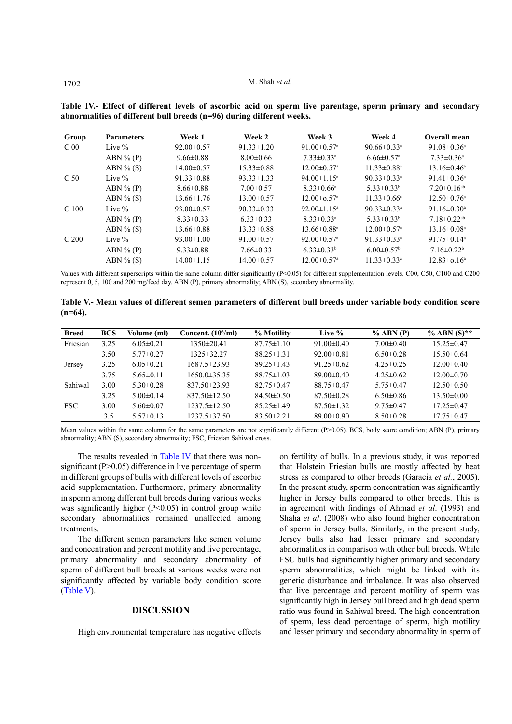| Group            | <b>Parameters</b> | Week 1           | Week 2           | Week 3                        | Week 4                        | Overall mean                  |
|------------------|-------------------|------------------|------------------|-------------------------------|-------------------------------|-------------------------------|
| C <sub>00</sub>  | Live $\%$         | $92.00 \pm 0.57$ | $91.33 \pm 1.20$ | 91.00 $\pm$ 0.57 <sup>a</sup> | 90.66 $\pm$ 0.33 <sup>a</sup> | 91.08 $\pm$ 0.36 <sup>a</sup> |
|                  | $ABN\%(P)$        | $9.66 \pm 0.88$  | $8.00 \pm 0.66$  | $7.33 \pm 0.33$ <sup>a</sup>  | $6.66 \pm 0.57$ <sup>a</sup>  | $7.33 \pm 0.36$ <sup>a</sup>  |
|                  | ABN $\%$ (S)      | $14.00 \pm 0.57$ | $15.33\pm0.88$   | $12.00 \pm 0.57$ <sup>a</sup> | $11.33 \pm 0.88$ <sup>a</sup> | $13.16 \pm 0.46^a$            |
| C <sub>50</sub>  | Live $\%$         | $91.33 \pm 0.88$ | $93.33 \pm 1.33$ | 94.00 $\pm$ 1.15 <sup>a</sup> | 90.33 $\pm$ 0.33 <sup>a</sup> | 91.41 $\pm$ 0.36 <sup>a</sup> |
|                  | $ABN\%(P)$        | $8.66 \pm 0.88$  | $7.00 \pm 0.57$  | $8.33 \pm 0.66^a$             | $5.33 \pm 0.33^b$             | $7.20 \pm 0.16$ <sup>ab</sup> |
|                  | $ABN\%$ (S)       | $13.66 \pm 1.76$ | $13.00 \pm 0.57$ | $12.00 \pm 0.57$ <sup>a</sup> | $11.33 \pm 0.66^a$            | $12.50 \pm 0.76$ <sup>a</sup> |
| C <sub>100</sub> | Live $\%$         | $93.00 \pm 0.57$ | $90.33 \pm 0.33$ | 92.00 $\pm$ 1.15 <sup>a</sup> | 90.33 $\pm$ 0.33 <sup>a</sup> | 91.16 $\pm$ 0.30 <sup>a</sup> |
|                  | $ABN\%(P)$        | $8.33\pm0.33$    | $6.33 \pm 0.33$  | $8.33 \pm 0.33$ <sup>a</sup>  | $5.33 \pm 0.33^b$             | $7.18 \pm 0.22$ <sup>ab</sup> |
|                  | $ABN\%$ (S)       | $13.66\pm0.88$   | $13.33 \pm 0.88$ | $13.66 \pm 0.88$ <sup>a</sup> | $12.00 \pm 0.57$ <sup>a</sup> | $13.16 \pm 0.08^{\text{a}}$   |
| C <sub>200</sub> | Live $%$          | $93.00 \pm 1.00$ | $91.00 \pm 0.57$ | 92.00 $\pm$ 0.57 <sup>a</sup> | 91.33 $\pm$ 0.33 <sup>a</sup> | $91.75 \pm 0.14$ <sup>a</sup> |
|                  | $ABN\%(P)$        | $9.33 \pm 0.88$  | $7.66 \pm 0.33$  | $6.33 \pm 0.33^b$             | $6.00 \pm 0.57$ <sup>b</sup>  | $7.16\pm0.22b$                |
|                  | ABN $\%$ (S)      | $14.00 \pm 1.15$ | $14.00 \pm 0.57$ | $12.00 \pm 0.57$ <sup>a</sup> | $11.33 \pm 0.33$ <sup>a</sup> | $12.83 \pm 0.16^a$            |

<span id="page-3-0"></span>**Table IV.- Effect of different levels of ascorbic acid on sperm live parentage, sperm primary and secondary abnormalities of different bull breeds (n=96) during different weeks.**

Values with different superscripts within the same column differ significantly (P<0.05) for different supplementation levels. C00, C50, C100 and C200 represent 0, 5, 100 and 200 mg/feed day. ABN (P), primary abnormality; ABN (S), secondary abnormality.

<span id="page-3-1"></span>**Table V.- Mean values of different semen parameters of different bull breeds under variable body condition score (n=64).**

| <b>Breed</b> | <b>BCS</b> | Volume (ml)     | Concent. $(10^6$ /ml) | % Motility       | Live %           | $%$ ABN $(P)$   | % ABN $(S)$ **   |
|--------------|------------|-----------------|-----------------------|------------------|------------------|-----------------|------------------|
| Friesian     | 3.25       | $6.05 \pm 0.21$ | 1350±20.41            | $87.75 \pm 1.10$ | 91.00 $\pm$ 0.40 | $7.00 \pm 0.40$ | $15.25 \pm 0.47$ |
|              | 3.50       | $5.77 \pm 0.27$ | 1325±32.27            | $88.25 \pm 1.31$ | $92.00 \pm 0.81$ | $6.50 \pm 0.28$ | $15.50\pm0.64$   |
| Jersey       | 3.25       | $6.05 \pm 0.21$ | 1687.5±23.93          | $89.25 \pm 1.43$ | $91.25 \pm 0.62$ | $4.25 \pm 0.25$ | $12.00 \pm 0.40$ |
|              | 3.75       | $5.65 \pm 0.11$ | $1650.0 \pm 35.35$    | $88.75 \pm 1.03$ | $89.00 \pm 0.40$ | $4.25\pm0.62$   | $12.00 \pm 0.70$ |
| Sahiwal      | 3.00       | $5.30 \pm 0.28$ | $837.50\pm23.93$      | $82.75 \pm 0.47$ | $88.75 \pm 0.47$ | $5.75 \pm 0.47$ | $12.50\pm0.50$   |
|              | 3.25       | $5.00\pm 0.14$  | $837.50 \pm 12.50$    | $84.50\pm0.50$   | $87.50 \pm 0.28$ | $6.50\pm0.86$   | $13.50\pm0.00$   |
| <b>FSC</b>   | 3.00       | $5.60\pm0.07$   | $1237.5 \pm 12.50$    | $85.25 \pm 1.49$ | $87.50 \pm 1.32$ | $9.75 \pm 0.47$ | $17.25 \pm 0.47$ |
|              | 3.5        | $5.57\pm0.13$   | $1237.5 \pm 37.50$    | $83.50 \pm 2.21$ | $89.00 \pm 0.90$ | $8.50 \pm 0.28$ | $17.75 \pm 0.47$ |

Mean values within the same column for the same parameters are not significantly different (P>0.05). BCS, body score condition; ABN (P), primary abnormality; ABN (S), secondary abnormality; FSC, Friesian Sahiwal cross.

The results revealed in [Table](#page-3-0) IV that there was nonsignificant  $(P>0.05)$  difference in live percentage of sperm in different groups of bulls with different levels of ascorbic acid supplementation. Furthermore, primary abnormality in sperm among different bull breeds during various weeks was significantly higher  $(P<0.05)$  in control group while secondary abnormalities remained unaffected among treatments.

The different semen parameters like semen volume and concentration and percent motility and live percentage, primary abnormality and secondary abnormality of sperm of different bull breeds at various weeks were not significantly affected by variable body condition score [\(Table](#page-3-1) V).

### **DISCUSSION**

High environmental temperature has negative effects

on fertility of bulls. In a previous study, it was reported that Holstein Friesian bulls are mostly affected by heat stress as compared to other breeds (Garacia *et al.*, 2005). In the present study, sperm concentration was significantly higher in Jersey bulls compared to other breeds. This is in agreement with findings of Ahmad *et al*. (1993) and Shaha *et al*. (2008) who also found higher concentration of sperm in Jersey bulls. Similarly, in the present study, Jersey bulls also had lesser primary and secondary abnormalities in comparison with other bull breeds. While FSC bulls had significantly higher primary and secondary sperm abnormalities, which might be linked with its genetic disturbance and imbalance. It was also observed that live percentage and percent motility of sperm was significantly high in Jersey bull breed and high dead sperm ratio was found in Sahiwal breed. The high concentration of sperm, less dead percentage of sperm, high motility and lesser primary and secondary abnormality in sperm of